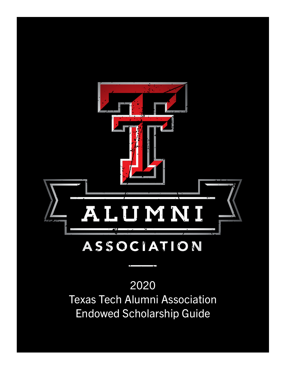

# 2020 Texas Tech Alumni Association Endowed Scholarship Guide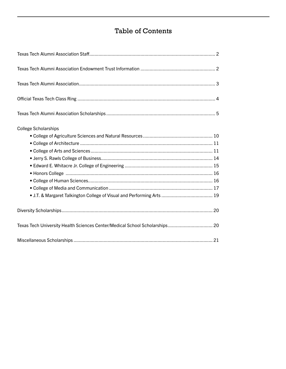# Table of Contents

| <b>College Scholarships</b>                                                 |  |
|-----------------------------------------------------------------------------|--|
|                                                                             |  |
| Texas Tech University Health Sciences Center/Medical School Scholarships 20 |  |
|                                                                             |  |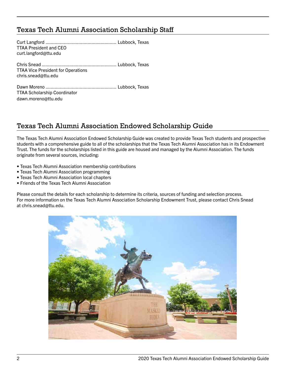# Texas Tech Alumni Association Scholarship Staff

Curt Langford ...................................................... Lubbock, Texas TTAA President and CEO curt.langford@ttu.edu

Chris Snead ......................................................... Lubbock, Texas TTAA Vice President for Operations chris.snead@ttu.edu

Dawn Moreno ...................................................... Lubbock, Texas TTAA Scholarship Coordinator dawn.moreno@ttu.edu

# Texas Tech Alumni Association Endowed Scholarship Guide

The Texas Tech Alumni Association Endowed Scholarship Guide was created to provide Texas Tech students and prospective students with a comprehensive guide to all of the scholarships that the Texas Tech Alumni Association has in its Endowment Trust. The funds for the scholarships listed in this guide are housed and managed by the Alumni Association. The funds originate from several sources, including:

- Texas Tech Alumni Association membership contributions
- Texas Tech Alumni Association programming
- Texas Tech Alumni Association local chapters
- Friends of the Texas Tech Alumni Association

Please consult the details for each scholarship to determine its criteria, sources of funding and selection process. For more information on the Texas Tech Alumni Association Scholarship Endowment Trust, please contact Chris Snead at chris.snead@ttu.edu.

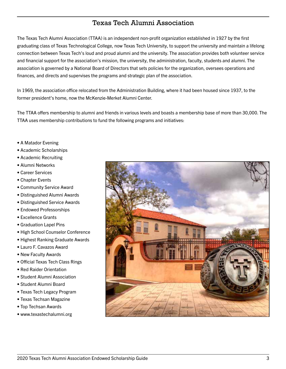# Texas Tech Alumni Association

The Texas Tech Alumni Association (TTAA) is an independent non-profit organization established in 1927 by the first graduating class of Texas Technological College, now Texas Tech University, to support the university and maintain a lifelong connection between Texas Tech's loud and proud alumni and the university. The association provides both volunteer service and financial support for the association's mission, the university, the administration, faculty, students and alumni. The association is governed by a National Board of Directors that sets policies for the organization, oversees operations and finances, and directs and supervises the programs and strategic plan of the association.

In 1969, the association office relocated from the Administration Building, where it had been housed since 1937, to the former president's home, now the McKenzie-Merket Alumni Center.

The TTAA offers membership to alumni and friends in various levels and boasts a membership base of more than 30,000. The TTAA uses membership contributions to fund the following programs and initiatives:

- A Matador Evening
- Academic Scholarships
- Academic Recruiting
- Alumni Networks
- Career Services
- Chapter Events
- Community Service Award
- Distinguished Alumni Awards
- Distinguished Service Awards
- Endowed Professorships
- Excellence Grants
- Graduation Lapel Pins
- High School Counselor Conference
- Highest Ranking Graduate Awards
- Lauro F. Cavazos Award
- New Faculty Awards
- Official Texas Tech Class Rings
- Red Raider Orientation
- Student Alumni Association
- Student Alumni Board
- Texas Tech Legacy Program
- Texas Techsan Magazine
- Top Techsan Awards
- www.texastechalumni.org

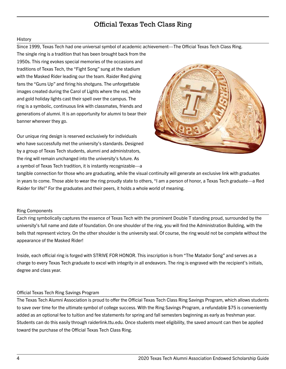# Official Texas Tech Class Ring

#### **History**

Since 1999, Texas Tech had one universal symbol of academic achievement—The Official Texas Tech Class Ring.

The single ring is a tradition that has been brought back from the 1950s. This ring evokes special memories of the occasions and traditions of Texas Tech, the "Fight Song" sung at the stadium with the Masked Rider leading our the team. Raider Red giving fans the "Guns Up" and firing his shotguns. The unforgettable images created during the Carol of Lights where the red, white and gold holiday lights cast their spell over the campus. The ring is a symbolic, continuous link with classmates, friends and generations of alumni. It is an opportunity for alumni to bear their banner wherever they go.

Our unique ring design is reserved exclusively for individuals who have successfully met the university's standards. Designed by a group of Texas Tech students, alumni and administrators, the ring will remain unchanged into the university's future. As a symbol of Texas Tech tradition, it is instantly recognizable—a



tangible connection for those who are graduating, while the visual continuity will generate an exclusive link with graduates in years to come. Those able to wear the ring proudly state to others, "I am a person of honor, a Texas Tech graduate—a Red Raider for life!" For the graduates and their peers, it holds a whole world of meaning.

#### Ring Components

Each ring symbolically captures the essence of Texas Tech with the prominent Double T standing proud, surrounded by the university's full name and date of foundation. On one shoulder of the ring, you will find the Administration Building, with the bells that represent victory. On the other shoulder is the university seal. Of course, the ring would not be complete without the appearance of the Masked Rider!

Inside, each official ring is forged with STRIVE FOR HONOR. This inscription is from "The Matador Song" and serves as a charge to every Texas Tech graduate to excel with integrity in all endeavors. The ring is engraved with the recipient's initials, degree and class year.

#### Official Texas Tech Ring Savings Program

The Texas Tech Alumni Association is proud to offer the Official Texas Tech Class Ring Savings Program, which allows students to save over time for the ultimate symbol of college success. With the Ring Savings Program, a refundable \$75 is conveniently added as an optional fee to tuition and fee statements for spring and fall semesters beginning as early as freshman year. Students can do this easily through raiderlink.ttu.edu. Once students meet eligibility, the saved amount can then be applied toward the purchase of the Official Texas Tech Class Ring.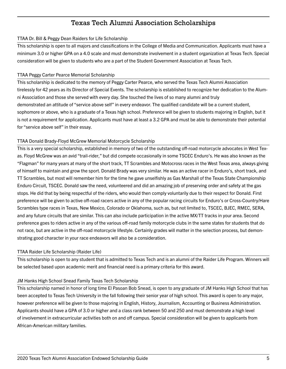# Texas Tech Alumni Association Scholarships

#### TTAA Dr. Bill & Peggy Dean Raiders for Life Scholarship

This scholarship is open to all majors and classifications in the College of Media and Communication. Applicants must have a minimum 3.0 or higher GPA on a 4.0 scale and must demonstrate involvement in a student organization at Texas Tech. Special consideration will be given to students who are a part of the Student Government Association at Texas Tech.

#### TTAA Peggy Carter Pearce Memorial Scholarship

This scholarship is dedicated to the memory of Peggy Carter Pearce, who served the Texas Tech Alumni Association tirelessly for 42 years as its Director of Special Events. The scholarship is established to recognize her dedication to the Alumni Association and those she served with every day. She touched the lives of so many alumni and truly demonstrated an attitude of "service above self" in every endeavor. The qualified candidate will be a current student, sophomore or above, who is a graduate of a Texas high school. Preference will be given to students majoring in English, but it is not a requirement for application. Applicants must have at least a 3.2 GPA and must be able to demonstrate their potential for "service above self" in their essay.

# TTAA Donald Brady-Floyd McGrew Memorial Motorcycle Scholarship

This is a very special scholarship, established in memory of two of the outstanding off-road motorcycle advocates in West Texas. Floyd McGrew was an avid "trail-rider," but did compete occasionally in some TSCEC Enduro's. He was also known as the "Flagman" for many years at many of the short track, TT Scrambles and Motocross races in the West Texas area, always giving of himself to maintain and grow the sport. Donald Brady was very similar. He was an active racer in Enduro's, short track, and TT Scrambles, but most will remember him for the time he gave unselfishly as Gas Marshall of the Texas State Championship Enduro Circuit, TSCEC. Donald saw the need, volunteered and did an amazing job of preserving order and safety at the gas stops. He did that by being respectful of the riders, who would then comply voluntarily due to their respect for Donald. First preference will be given to active off-road racers active in any of the popular racing circuits for Enduro's or Cross-Country/Hare Scrambles type races in Texas, New Mexico, Colorado or Oklahoma, such as, but not limited to, TSCEC, BJEC, RMEC, SERA, and any future circuits that are similar. This can also include participation in the active MX/TT tracks in your area. Second preference goes to riders active in any of the various off-road family motorcycle clubs in the same states for students that do not race, but are active in the off-road motorcycle lifestyle. Certainly grades will matter in the selection process, but demonstrating good character in your race endeavors will also be a consideration.

# TTAA Raider Life Scholarship (Raider Life)

This scholarship is open to any student that is admitted to Texas Tech and is an alumni of the Raider Life Program. Winners will be selected based upon academic merit and financial need is a primary criteria for this award.

# JM Hanks High School Snead Family Texas Tech Scholarship

This scholarship named in honor of long time El Pasoan Bob Snead, is open to any graduate of JM Hanks High School that has been accepted to Texas Tech University in the fall following their senior year of high school. This award is open to any major, however preference will be given to those majoring in English, History, Journalism, Accounting or Business Administration. Applicants should have a GPA of 3.0 or higher and a class rank between 50 and 250 and must demonstrate a high level of involvement in extracurricular activities both on and off campus. Special consideration will be given to applicants from African-American military families.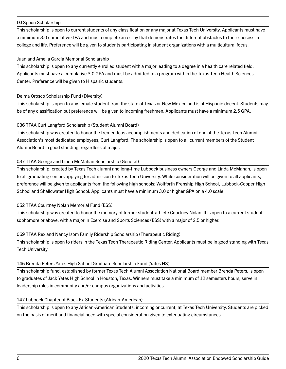#### DJ Spoon Scholarship

This scholarship is open to current students of any classification or any major at Texas Tech University. Applicants must have a minimum 3.0 cumulative GPA and must complete an essay that demonstrates the different obstacles to their success in college and life. Preference will be given to students participating in student organizations with a multicultural focus.

#### Juan and Amelia Garcia Memorial Scholarship

This scholarship is open to any currently enrolled student with a major leading to a degree in a health care related field. Applicants must have a cumulative 3.0 GPA and must be admitted to a program within the Texas Tech Health Sciences Center. Preference will be given to Hispanic students.

#### Delma Orosco Scholarship Fund (Diversity)

This scholarship is open to any female student from the state of Texas or New Mexico and is of Hispanic decent. Students may be of any classification but preference will be given to incoming freshmen. Applicants must have a minimum 2.5 GPA.

# 036 TTAA Curt Langford Scholarship (Student Alumni Board)

This scholarship was created to honor the tremendous accomplishments and dedication of one of the Texas Tech Alumni Association's most dedicated employees, Curt Langford. The scholarship is open to all current members of the Student Alumni Board in good standing, regardless of major.

# 037 TTAA George and Linda McMahan Scholarship (General)

This scholarship, created by Texas Tech alumni and long-time Lubbock business owners George and Linda McMahan, is open to all graduating seniors applying for admission to Texas Tech University. While consideration will be given to all applicants, preference will be given to applicants from the following high schools: Wolfforth Frenship High School, Lubbock-Cooper High School and Shallowater High School. Applicants must have a minimum 3.0 or higher GPA on a 4.0 scale.

#### 052 TTAA Courtney Nolan Memorial Fund (ESS)

This scholarship was created to honor the memory of former student-athlete Courtney Nolan. It is open to a current student, sophomore or above, with a major in Exercise and Sports Sciences (ESS) with a major of 2.5 or higher.

#### 069 TTAA Rex and Nancy Isom Family Ridership Scholarship (Therapeutic Riding)

This scholarship is open to riders in the Texas Tech Therapeutic Riding Center. Applicants must be in good standing with Texas Tech University.

#### 146 Brenda Peters Yates High School Graduate Scholarship Fund (Yates HS)

This scholarship fund, established by former Texas Tech Alumni Association National Board member Brenda Peters, is open to graduates of Jack Yates High School in Houston, Texas. Winners must take a minimum of 12 semesters hours, serve in leadership roles in community and/or campus organizations and activities.

# 147 Lubbock Chapter of Black Ex-Students (African-American)

This scholarship is open to any African-American Students, incoming or current, at Texas Tech University. Students are picked on the basis of merit and financial need with special consideration given to extenuating circumstances.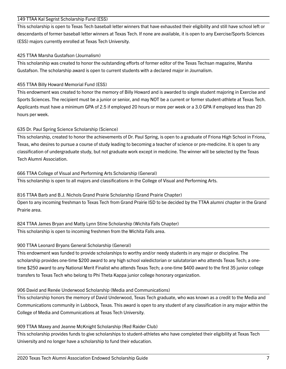#### 149 TTAA Kal Segrist Scholarship Fund (ESS)

This scholarship is open to Texas Tech baseball letter winners that have exhausted their eligibility and still have school left or descendants of former baseball letter winners at Texas Tech. If none are available, it is open to any Exercise/Sports Sciences (ESS) majors currently enrolled at Texas Tech University.

#### 425 TTAA Marsha Gustafson (Journalism)

This scholarship was created to honor the outstanding efforts of former editor of the Texas Techsan magazine, Marsha Gustafson. The scholarship award is open to current students with a declared major in Journalism.

#### 455 TTAA Billy Howard Memorial Fund (ESS)

This endowment was created to honor the memory of Billy Howard and is awarded to single student majoring in Exercise and Sports Sciences. The recipient must be a junior or senior, and may NOT be a current or former student-athlete at Texas Tech. Applicants must have a minimum GPA of 2.5 if employed 20 hours or more per week or a 3.0 GPA if employed less than 20 hours per week.

#### 635 Dr. Paul Spring Science Scholarship (Science)

This scholarship, created to honor the achievements of Dr. Paul Spring, is open to a graduate of Friona High School in Friona, Texas, who desires to pursue a course of study leading to becoming a teacher of science or pre-medicine. It is open to any classification of undergraduate study, but not graduate work except in medicine. The winner will be selected by the Texas Tech Alumni Association.

#### 666 TTAA College of Visual and Performing Arts Scholarship (General)

This scholarship is open to all majors and classifications in the College of Visual and Performing Arts.

# 816 TTAA Barb and B.J. Nichols Grand Prairie Scholarship (Grand Prairie Chapter)

Open to any incoming freshman to Texas Tech from Grand Prairie ISD to be decided by the TTAA alumni chapter in the Grand Prairie area.

# 824 TTAA James Bryan and Matty Lynn Stine Scholarship (Wichita Falls Chapter)

This scholarship is open to incoming freshmen from the Wichita Falls area.

# 900 TTAA Leonard Bryans General Scholarship (General)

This endowment was funded to provide scholarships to worthy and/or needy students in any major or discipline. The scholarship provides one-time \$200 award to any high school valedictorian or salutatorian who attends Texas Tech; a onetime \$250 award to any National Merit Finalist who attends Texas Tech; a one-time \$400 award to the first 35 junior college transfers to Texas Tech who belong to Phi Theta Kappa junior college honorary organization.

# 906 David and Renée Underwood Scholarship (Media and Communications)

This scholarship honors the memory of David Underwood, Texas Tech graduate, who was known as a credit to the Media and Communications community in Lubbock, Texas. This award is open to any student of any classification in any major within the College of Media and Communications at Texas Tech University.

#### 909 TTAA Maxey and Jeanne McKnight Scholarship (Red Raider Club)

This scholarship provides funds to give scholarships to student-athletes who have completed their eligibility at Texas Tech University and no longer have a scholarship to fund their education.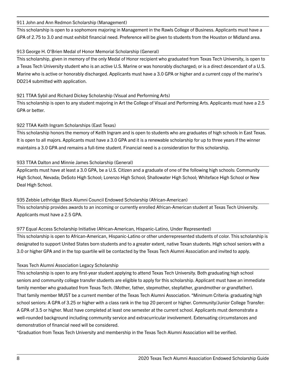#### 911 John and Ann Redmon Scholarship (Management)

This scholarship is open to a sophomore majoring in Management in the Rawls College of Business. Applicants must have a GPA of 2.75 to 3.0 and must exhibit financial need. Preference will be given to students from the Houston or Midland area.

#### 913 George H. O'Brien Medal of Honor Memorial Scholarship (General)

This scholarship, given in memory of the only Medal of Honor recipient who graduated from Texas Tech University, is open to a Texas Tech University student who is an active U.S. Marine or was honorably discharged; or is a direct descendant of a U.S. Marine who is active or honorably discharged. Applicants must have a 3.0 GPA or higher and a current copy of the marine's DD214 submitted with application.

#### 921 TTAA Sybil and Richard Dickey Scholarship (Visual and Performing Arts)

This scholarship is open to any student majoring in Art the College of Visual and Performing Arts. Applicants must have a 2.5 GPA or better.

# 922 TTAA Keith Ingram Scholarships (East Texas)

This scholarship honors the memory of Keith Ingram and is open to students who are graduates of high schools in East Texas. It is open to all majors. Applicants must have a 3.0 GPA and it is a renewable scholarship for up to three years if the winner maintains a 3.0 GPA and remains a full-time student. Financial need is a consideration for this scholarship.

#### 933 TTAA Dalton and Minnie James Scholarship (General)

Applicants must have at least a 3.0 GPA, be a U.S. Citizen and a graduate of one of the following high schools: Community High School, Nevada; DeSoto High School; Lorenzo High School; Shallowater High School; Whiteface High School or New Deal High School.

# 935 Zebbie Lethridge Black Alumni Council Endowed Scholarship (African-American)

This scholarship provides awards to an incoming or currently enrolled African-American student at Texas Tech University. Applicants must have a 2.5 GPA.

# 977 Equal Access Scholarship Initiative (African-American, Hispanic-Latino, Under Represented)

This scholarship is open to African-American, Hispanic-Latino or other underrepresented students of color. This scholarship is designated to support United States born students and to a greater extent, native Texan students. High school seniors with a 3.0 or higher GPA and in the top quartile will be contacted by the Texas Tech Alumni Association and invited to apply.

# Texas Tech Alumni Association Legacy Scholarship

This scholarship is open to any first-year student applying to attend Texas Tech University. Both graduating high school seniors and community college transfer students are eligible to apply for this scholarship. Applicant must have an immediate family member who graduated from Texas Tech. (Mother, father, stepmother, stepfather, grandmother or grandfather). That family member MUST be a current member of the Texas Tech Alumni Association. \*Minimum Criteria: graduating high school seniors: A GPA of 3.25 or higher with a class rank in the top 20 percent or higher. Community/Junior College Transfer: A GPA of 3.5 or higher. Must have completed at least one semester at the current school. Applicants must demonstrate a well-rounded background including community service and extracurricular involvement. Extenuating circumstances and demonstration of financial need will be considered.

\*Graduation from Texas Tech University and membership in the Texas Tech Alumni Association will be verified.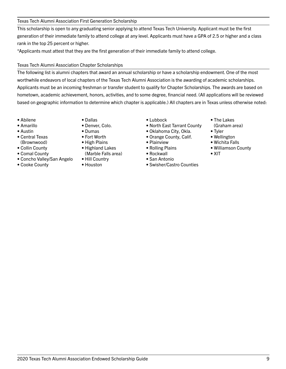# Texas Tech Alumni Association First Generation Scholarship

This scholarship is open to any graduating senior applying to attend Texas Tech University. Applicant must be the first generation of their immediate family to attend college at any level. Applicants must have a GPA of 2.5 or higher and a class rank in the top 25 percent or higher.

\*Applicants must attest that they are the first generation of their immediate family to attend college.

# Texas Tech Alumni Association Chapter Scholarships

The following list is alumni chapters that award an annual scholarship or have a scholarship endowment. One of the most worthwhile endeavors of local chapters of the Texas Tech Alumni Association is the awarding of academic scholarships. Applicants must be an incoming freshman or transfer student to qualify for Chapter Scholarships. The awards are based on hometown, academic achievement, honors, activities, and to some degree, financial need. (All applications will be reviewed based on geographic information to determine which chapter is applicable.) All chapters are in Texas unless otherwise noted:

- Abilene
- Amarillo
- Austin
- Central Texas (Brownwood)
- Collin County
- Comal County
- Concho Valley/San Angelo
- Cooke County
- Dallas
- Denver, Colo.
- Dumas
- Fort Worth
- High Plains
- Highland Lakes
- (Marble Falls area) • Hill Country

# • Houston

- Lubbock
- North East Tarrant County
- Oklahoma City, Okla.
- Orange County, Calif.
- Plainview
- Rolling Plains
- Rockwall
- San Antonio
- Swisher/Castro Counties
- The Lakes (Graham area)
- Tyler
- Wellington
- Wichita Falls
- Williamson County
- XIT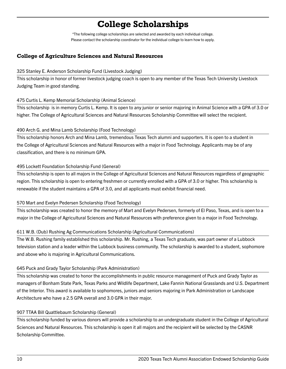# **College Scholarships**

\*The following college scholarships are selected and awarded by each individual college. Please contact the scholarship coordinator for the individual college to learn how to apply.

# **College of Agriculture Sciences and Natural Resources**

#### 325 Stanley E. Anderson Scholarship Fund (Livestock Judging)

This scholarship in honor of former livestock judging coach is open to any member of the Texas Tech University Livestock Judging Team in good standing.

# 475 Curtis L. Kemp Memorial Scholarship (Animal Science)

This scholarship is in memory Curtis L. Kemp. It is open to any junior or senior majoring in Animal Science with a GPA of 3.0 or higher. The College of Agricultural Sciences and Natural Resources Scholarship Committee will select the recipient.

# 490 Arch G. and Mina Lamb Scholarship (Food Technology)

This scholarship honors Arch and Mina Lamb, tremendous Texas Tech alumni and supporters. It is open to a student in the College of Agricultural Sciences and Natural Resources with a major in Food Technology. Applicants may be of any classification, and there is no minimum GPA.

# 495 Lockett Foundation Scholarship Fund (General)

This scholarship is open to all majors in the College of Agricultural Sciences and Natural Resources regardless of geographic region. This scholarship is open to entering freshmen or currently enrolled with a GPA of 3.0 or higher. This scholarship is renewable if the student maintains a GPA of 3.0, and all applicants must exhibit financial need.

# 570 Mart and Evelyn Pedersen Scholarship (Food Technology)

This scholarship was created to honor the memory of Mart and Evelyn Pedersen, formerly of El Paso, Texas, and is open to a major in the College of Agricultural Sciences and Natural Resources with preference given to a major in Food Technology.

# 611 W.B. (Dub) Rushing Ag Communications Scholarship (Agricultural Communications)

The W.B. Rushing family established this scholarship. Mr. Rushing, a Texas Tech graduate, was part owner of a Lubbock television station and a leader within the Lubbock business community. The scholarship is awarded to a student, sophomore and above who is majoring in Agricultural Communications.

# 645 Puck and Grady Taylor Scholarship (Park Administration)

This scholarship was created to honor the accomplishments in public resource management of Puck and Grady Taylor as managers of Bonham State Park, Texas Parks and Wildlife Department, Lake Fannin National Grasslands and U.S. Department of the Interior. This award is available to sophomores, juniors and seniors majoring in Park Administration or Landscape Architecture who have a 2.5 GPA overall and 3.0 GPA in their major.

# 907 TTAA Bill Quattlebaum Scholarship (General)

This scholarship funded by various donors will provide a scholarship to an undergraduate student in the College of Agricultural Sciences and Natural Resources. This scholarship is open it all majors and the recipient will be selected by the CASNR Scholarship Committee.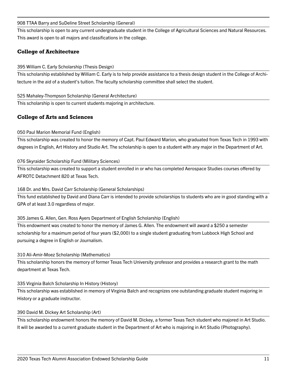#### 908 TTAA Barry and SuDeline Street Scholarship (General)

This scholarship is open to any current undergraduate student in the College of Agricultural Sciences and Natural Resources. This award is open to all majors and classifications in the college.

# **College of Architecture**

# 395 William C. Early Scholarship (Thesis Design)

This scholarship established by William C. Early is to help provide assistance to a thesis design student in the College of Architecture in the aid of a student's tuition. The faculty scholarship committee shall select the student.

#### 525 Mahaley-Thompson Scholarship (General Architecture)

This scholarship is open to current students majoring in architecture.

# **College of Arts and Sciences**

#### 050 Paul Marion Memorial Fund (English)

This scholarship was created to honor the memory of Capt. Paul Edward Marion, who graduated from Texas Tech in 1993 with degrees in English, Art History and Studio Art. The scholarship is open to a student with any major in the Department of Art.

#### 076 Skyraider Scholarship Fund (Military Sciences)

This scholarship was created to support a student enrolled in or who has completed Aerospace Studies courses offered by AFROTC Detachment 820 at Texas Tech.

# 168 Dr. and Mrs. David Carr Scholarship (General Scholarships)

This fund established by David and Diana Carr is intended to provide scholarships to students who are in good standing with a GPA of at least 3.0 regardless of major.

#### 305 James G. Allen, Gen. Ross Ayers Department of English Scholarship (English)

This endowment was created to honor the memory of James G. Allen. The endowment will award a \$250 a semester scholarship for a maximum period of four years (\$2,000) to a single student graduating from Lubbock High School and pursuing a degree in English or Journalism.

#### 310 Ali-Amir-Moez Scholarship (Mathematics)

This scholarship honors the memory of former Texas Tech University professor and provides a research grant to the math department at Texas Tech.

# 335 Virginia Balch Scholarship In History (History)

This scholarship was established in memory of Virginia Balch and recognizes one outstanding graduate student majoring in History or a graduate instructor.

# 390 David M. Dickey Art Scholarship (Art)

This scholarship endowment honors the memory of David M. Dickey, a former Texas Tech student who majored in Art Studio. It will be awarded to a current graduate student in the Department of Art who is majoring in Art Studio (Photography).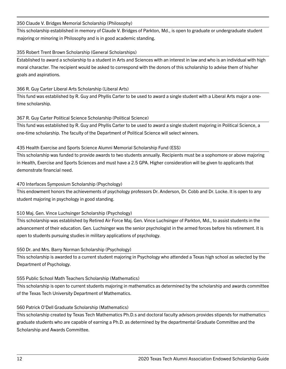#### 350 Claude V. Bridges Memorial Scholarship (Philosophy)

This scholarship established in memory of Claude V. Bridges of Parkton, Md., is open to graduate or undergraduate student majoring or minoring in Philosophy and is in good academic standing.

#### 355 Robert Trent Brown Scholarship (General Scholarships)

Established to award a scholarship to a student in Arts and Sciences with an interest in law and who is an individual with high moral character. The recipient would be asked to correspond with the donors of this scholarship to advise them of his/her goals and aspirations.

#### 366 R. Guy Carter Liberal Arts Scholarship (Liberal Arts)

This fund was established by R. Guy and Phyllis Carter to be used to award a single student with a Liberal Arts major a onetime scholarship.

#### 367 R. Guy Carter Political Science Scholarship (Political Science)

This fund was established by R. Guy and Phyllis Carter to be used to award a single student majoring in Political Science, a one-time scholarship. The faculty of the Department of Political Science will select winners.

#### 435 Health Exercise and Sports Science Alumni Memorial Scholarship Fund (ESS)

This scholarship was funded to provide awards to two students annually. Recipients must be a sophomore or above majoring in Health, Exercise and Sports Sciences and must have a 2.5 GPA. Higher consideration will be given to applicants that demonstrate financial need.

#### 470 Interfaces Symposium Scholarship (Psychology)

This endowment honors the achievements of psychology professors Dr. Anderson, Dr. Cobb and Dr. Locke. It is open to any student majoring in psychology in good standing.

# 510 Maj. Gen. Vince Luchsinger Scholarship (Psychology)

This scholarship was established by Retired Air Force Maj. Gen. Vince Luchsinger of Parkton, Md., to assist students in the advancement of their education. Gen. Luchsinger was the senior psychologist in the armed forces before his retirement. It is open to students pursuing studies in military applications of psychology.

# 550 Dr. and Mrs. Barry Norman Scholarship (Psychology)

This scholarship is awarded to a current student majoring in Psychology who attended a Texas high school as selected by the Department of Psychology.

#### 555 Public School Math Teachers Scholarship (Mathematics)

This scholarship is open to current students majoring in mathematics as determined by the scholarship and awards committee of the Texas Tech University Department of Mathematics.

#### 560 Patrick O'Dell Graduate Scholarship (Mathematics)

This scholarship created by Texas Tech Mathematics Ph.D.s and doctoral faculty advisors provides stipends for mathematics graduate students who are capable of earning a Ph.D. as determined by the departmental Graduate Committee and the Scholarship and Awards Committee.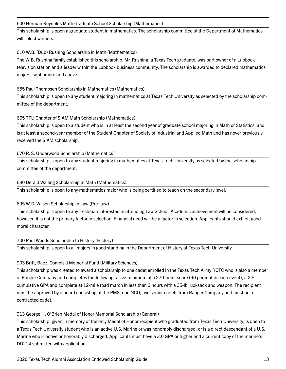#### 600 Herman Reynolds Math Graduate School Scholarship (Mathematics)

This scholarship is open a graduate student in mathematics. The scholarship committee of the Department of Mathematics will select winners.

# 610 W.B. (Dub) Rushing Scholarship in Math (Mathematics)

The W.B. Rushing family established this scholarship. Mr. Rushing, a Texas Tech graduate, was part owner of a Lubbock television station and a leader within the Lubbock business community. The scholarship is awarded to declared mathematics majors, sophomore and above.

#### 655 Paul Thompson Scholarship in Mathematics (Mathematics)

This scholarship is open to any student majoring in mathematics at Texas Tech University as selected by the scholarship committee of the department.

#### 665 TTU Chapter of SIAM Math Scholarship (Mathematics)

This scholarship is open to a student who is in at least the second year of graduate school majoring in Math or Statistics, and is at least a second-year member of the Student Chapter of Society of Industrial and Applied Math and has never previously received the SIAM scholarship.

#### 670 R. S. Underwood Scholarship (Mathematics)

This scholarship is open to any student majoring in mathematics at Texas Tech University as selected by the scholarship committee of the department.

#### 680 Derald Walling Scholarship in Math (Mathematics)

This scholarship is open to any mathematics major who is being certified to teach on the secondary level.

# 695 W.D. Wilson Scholarship in Law (Pre-Law)

This scholarship is open to any freshman interested in attending Law School. Academic achievement will be considered, however, it is not the primary factor in selection. Financial need will be a factor in selection. Applicants should exhibit good moral character.

#### 700 Paul Woods Scholarship In History (History)

This scholarship is open to all majors in good standing in the Department of History at Texas Tech University.

# 903 Britt, Baez, Osmolski Memorial Fund (Military Sciences)

This scholarship was created to award a scholarship to one cadet enrolled in the Texas Tech Army ROTC who is also a member of Ranger Company and completes the following tasks: minimum of a 270-point score (90 percent in each event), a 2.5 cumulative GPA and complete at 12-mile road march in less than 3 hours with a 35-lb rucksack and weapon. The recipient must be approved by a board consisting of the PMS, one NCO, two senior cadets from Ranger Company and must be a contracted cadet.

#### 913 George H. O'Brien Medal of Honor Memorial Scholarship (General)

This scholarship, given in memory of the only Medal of Honor recipient who graduated from Texas Tech University, is open to a Texas Tech University student who is an active U.S. Marine or was honorably discharged; or is a direct descendant of a U.S. Marine who is active or honorably discharged. Applicants must have a 3.0 GPA or higher and a current copy of the marine's DD214 submitted with application.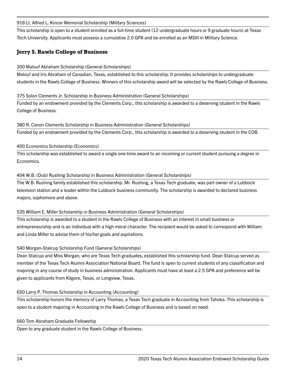918 Lt. Alfred L. Kincer Memorial Scholarship (Military Sciences)

This scholarship is open to a student enrolled as a full-time student (12 undergraduate hours or 9 graduate hours) at Texas Tech University. Applicants must possess a cumulative 2.0 GPA and be enrolled as an MSIII in Military Science.

# **Jerry S. Rawls College of Business**

# 300 Malouf Abraham Scholarship (General Scholarships)

Malouf and Iris Abraham of Canadian, Texas, established to this scholarship. It provides scholarships to undergraduate students in the Rawls College of Business. Winners of this scholarship award will be selected by the Rawls College of Business.

375 Solon Clements Jr. Scholarship in Business Administration (General Scholarships) Funded by an endowment provided by the Clements Corp., this scholarship is awarded to a deserving student in the Rawls College of Business.

380 R. Canon Clements Scholarship in Business Administration (General Scholarships) Funded by an endowment provided by the Clements Corp., this scholarship is awarded to a deserving student in the COB.

#### 400 Economics Scholarship (Economics)

This scholarship was established to award a single one-time award to an incoming or current student pursuing a degree in Economics.

#### 404 W.B. (Dub) Rushing Scholarship in Business Administration (General Scholarships)

The W.B. Rushing family established this scholarship. Mr. Rushing, a Texas Tech graduate, was part owner of a Lubbock television station and a leader within the Lubbock business community. The scholarship is awarded to declared business majors, sophomore and above.

# 535 William E. Miller Scholarship in Business Administration (General Scholarships)

This scholarship is awarded to a student in the Rawls College of Business with an interest in small business or entrepreneurship and is an individual with a high moral character. The recipient would be asked to correspond with William and Linda Miller to advise them of his/her goals and aspirations.

# 540 Morgan-Stalcup Scholarship Fund (General Scholarships)

Dean Stalcup and Miss Morgan, who are Texas Tech graduates, established this scholarship fund. Dean Stalcup served as member of the Texas Tech Alumni Association National Board. The fund is open to current students of any classification and majoring in any course of study in business administration. Applicants must have at least a 2.5 GPA and preference will be given to applicants from Kilgore, Texas, or Longview, Texas.

# 650 Larry P. Thomas Scholarship in Accounting (Accounting)

This scholarship honors the memory of Larry Thomas, a Texas Tech graduate in Accounting from Tahoka. This scholarship is open to a student majoring in Accounting in the Rawls College of Business and is based on need.

#### 660 Tom Abraham Graduate Fellowship

Open to any graduate student in the Rawls College of Business.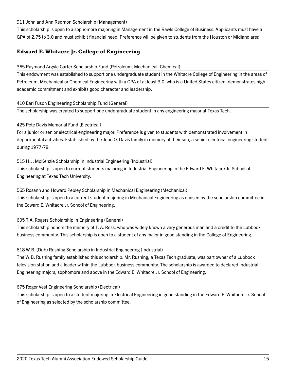911 John and Ann Redmon Scholarship (Management)

This scholarship is open to a sophomore majoring in Management in the Rawls College of Business. Applicants must have a GPA of 2.75 to 3.0 and must exhibit financial need. Preference will be given to students from the Houston or Midland area.

# **Edward E. Whitacre Jr. College of Engineering**

#### 365 Raymond Argyle Carter Scholarship Fund (Petroleum, Mechanical, Chemical)

This endowment was established to support one undergraduate student in the Whitacre College of Engineering in the areas of Petroleum, Mechanical or Chemical Engineering with a GPA of at least 3.0, who is a United States citizen, demonstrates high academic commitment and exhibits good character and leadership.

#### 410 Earl Fuson Engineering Scholarship Fund (General)

The scholarship was created to support one undergraduate student in any engineering major at Texas Tech.

# 425 Pete Davis Memorial Fund (Electrical)

For a junior or senior electrical engineering major. Preference is given to students with demonstrated involvement in departmental activities. Established by the John O. Davis family in memory of their son, a senior electrical engineering student during 1977-78.

# 515 H.J. McKenzie Scholarship in Industrial Engineering (Industrial)

This scholarship is open to current students majoring in Industrial Engineering in the Edward E. Whitacre Jr. School of Engineering at Texas Tech University.

# 565 Rosann and Howard Pebley Scholarship in Mechanical Engineering (Mechanical)

This scholarship is open to a current student majoring in Mechanical Engineering as chosen by the scholarship committee in the Edward E. Whitacre Jr. School of Engineering.

# 605 T.A. Rogers Scholarship in Engineering (General)

This scholarship honors the memory of T. A. Ross, who was widely known a very generous man and a credit to the Lubbock business community. This scholarship is open to a student of any major in good standing in the College of Engineering.

# 618 W.B. (Dub) Rushing Scholarship in Industrial Engineering (Industrial)

The W.B. Rushing family established this scholarship. Mr. Rushing, a Texas Tech graduate, was part owner of a Lubbock television station and a leader within the Lubbock business community. The scholarship is awarded to declared Industrial Engineering majors, sophomore and above in the Edward E. Whitacre Jr. School of Engineering.

# 675 Roger Vest Engineering Scholarship (Electrical)

This scholarship is open to a student majoring in Electrical Engineering in good standing in the Edward E. Whitacre Jr. School of Engineering as selected by the scholarship committee.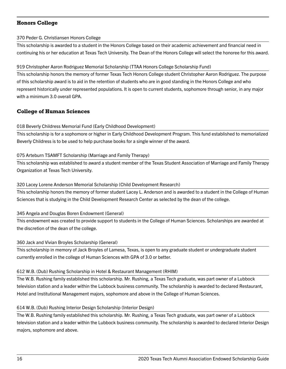# **Honors College**

#### 370 Peder G. Christiansen Honors College

This scholarship is awarded to a student in the Honors College based on their academic achievement and financial need in continuing his or her education at Texas Tech University. The Dean of the Honors College will select the honoree for this award.

# 919 Christopher Aaron Rodriguez Memorial Scholarship (TTAA Honors College Scholarship Fund)

This scholarship honors the memory of former Texas Tech Honors College student Christopher Aaron Rodriguez. The purpose of this scholarship award is to aid in the retention of students who are in good standing in the Honors College and who represent historically under represented populations. It is open to current students, sophomore through senior, in any major with a minimum 3.0 overall GPA.

# **College of Human Sciences**

# 018 Beverly Childress Memorial Fund (Early Childhood Development)

This scholarship is for a sophomore or higher in Early Childhood Development Program. This fund established to memorialized Beverly Childress is to be used to help purchase books for a single winner of the award.

# 075 Arteburn TSAMFT Scholarship (Marriage and Family Therapy)

This scholarship was established to award a student member of the Texas Student Association of Marriage and Family Therapy Organization at Texas Tech University.

# 320 Lacey Lorene Anderson Memorial Scholarship (Child Development Research)

This scholarship honors the memory of former student Lacey L. Anderson and is awarded to a student in the College of Human Sciences that is studying in the Child Development Research Center as selected by the dean of the college.

# 345 Angela and Douglas Boren Endowment (General)

This endowment was created to provide support to students in the College of Human Sciences. Scholarships are awarded at the discretion of the dean of the college.

# 360 Jack and Vivian Broyles Scholarship (General)

This scholarship in memory of Jack Broyles of Lamesa, Texas, is open to any graduate student or undergraduate student currently enrolled in the college of Human Sciences with GPA of 3.0 or better.

# 612 W.B. (Dub) Rushing Scholarship in Hotel & Restaurant Management (RHIM)

The W.B. Rushing family established this scholarship. Mr. Rushing, a Texas Tech graduate, was part owner of a Lubbock television station and a leader within the Lubbock business community. The scholarship is awarded to declared Restaurant, Hotel and Institutional Management majors, sophomore and above in the College of Human Sciences.

# 614 W.B. (Dub) Rushing Interior Design Scholarship (Interior Design)

The W.B. Rushing family established this scholarship. Mr. Rushing, a Texas Tech graduate, was part owner of a Lubbock television station and a leader within the Lubbock business community. The scholarship is awarded to declared Interior Design majors, sophomore and above.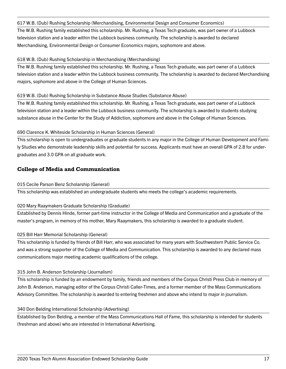#### 617 W.B. (Dub) Rushing Scholarship (Merchandising, Environmental Design and Consumer Economics)

The W.B. Rushing family established this scholarship. Mr. Rushing, a Texas Tech graduate, was part owner of a Lubbock television station and a leader within the Lubbock business community. The scholarship is awarded to declared Merchandising, Environmental Design or Consumer Economics majors, sophomore and above.

#### 618 W.B. (Dub) Rushing Scholarship in Merchandising (Merchandising)

The W.B. Rushing family established this scholarship. Mr. Rushing, a Texas Tech graduate, was part owner of a Lubbock television station and a leader within the Lubbock business community. The scholarship is awarded to declared Merchandising majors, sophomore and above in the College of Human Sciences.

#### 619 W.B. (Dub) Rushing Scholarship in Substance Abuse Studies (Substance Abuse)

The W.B. Rushing family established this scholarship. Mr. Rushing, a Texas Tech graduate, was part owner of a Lubbock television station and a leader within the Lubbock business community. The scholarship is awarded to students studying substance abuse in the Center for the Study of Addiction, sophomore and above in the College of Human Sciences.

# 690 Clarence K. Whiteside Scholarship in Human Sciences (General)

This scholarship is open to undergraduates or graduate students in any major in the College of Human Development and Family Studies who demonstrate leadership skills and potential for success. Applicants must have an overall GPA of 2.8 for undergraduates and 3.0 GPA on all graduate work.

# **College of Media and Communication**

#### 015 Cecile Parson Benz Scholarship (General)

This scholarship was established an undergraduate students who meets the college's academic requirements.

# 020 Mary Raaymakers Graduate Scholarship (Graduate)

Established by Dennis Hinde, former part-time instructor in the College of Media and Communication and a graduate of the master's program, in memory of his mother, Mary Raaymakers, this scholarship is awarded to a graduate student.

# 025 Bill Harr Memorial Scholarship (General)

This scholarship is funded by friends of Bill Harr, who was associated for many years with Southwestern Public Service Co. and was a strong supporter of the College of Media and Communication. This scholarship is awarded to any declared mass communications major meeting academic qualifications of the college.

#### 315 John B. Anderson Scholarship (Journalism)

This scholarship is funded by an endowment by family, friends and members of the Corpus Christi Press Club in memory of John B. Anderson, managing editor of the Corpus Christi Caller-Times, and a former member of the Mass Communications Advisory Committee. The scholarship is awarded to entering freshmen and above who intend to major in journalism.

# 340 Don Belding International Scholarship (Advertising)

Established by Don Belding, a member of the Mass Communications Hall of Fame, this scholarship is intended for students (freshman and above) who are interested in International Advertising.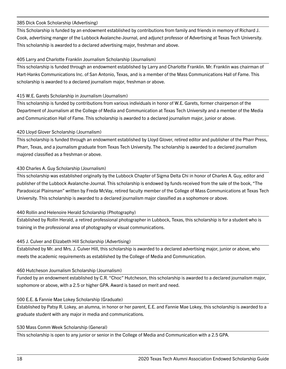#### 385 Dick Cook Scholarship (Advertising)

This Scholarship is funded by an endowment established by contributions from family and friends in memory of Richard J. Cook, advertising manger of the Lubbock Avalanche-Journal, and adjunct professor of Advertising at Texas Tech University. This scholarship is awarded to a declared advertising major, freshman and above.

#### 405 Larry and Charlotte Franklin Journalism Scholarship (Journalism)

This scholarship is funded through an endowment established by Larry and Charlotte Franklin. Mr. Franklin was chairman of Hart-Hanks Communications Inc. of San Antonio, Texas, and is a member of the Mass Communications Hall of Fame. This scholarship is awarded to a declared journalism major, freshman or above.

#### 415 W.E. Garets Scholarship in Journalism (Journalism)

This scholarship is funded by contributions from various individuals in honor of W.E. Garets, former chairperson of the Department of Journalism at the College of Media and Communication at Texas Tech University and a member of the Media and Communication Hall of Fame. This scholarship is awarded to a declared journalism major, junior or above.

#### 420 Lloyd Glover Scholarship (Journalism)

This scholarship is funded through an endowment established by Lloyd Glover, retired editor and publisher of the Pharr Press, Pharr, Texas, and a journalism graduate from Texas Tech University. The scholarship is awarded to a declared journalism majored classified as a freshman or above.

#### 430 Charles A. Guy Scholarship (Journalism)

This scholarship was established originally by the Lubbock Chapter of Sigma Delta Chi in honor of Charles A. Guy, editor and publisher of the Lubbock Avalanche-Journal. This scholarship is endowed by funds received from the sale of the book, "The Paradoxical Plainsman" written by Freda McVay, retired faculty member of the College of Mass Communications at Texas Tech University. This scholarship is awarded to a declared journalism major classified as a sophomore or above.

# 440 Rollin and Helenoire Herald Scholarship (Photography)

Established by Rollin Herald, a retired professional photographer in Lubbock, Texas, this scholarship is for a student who is training in the professional area of photography or visual communications.

# 445 J. Culver and Elizabeth Hill Scholarship (Advertising)

Established by Mr. and Mrs. J. Culver Hill, this scholarship is awarded to a declared advertising major, junior or above, who meets the academic requirements as established by the College of Media and Communication.

#### 460 Hutcheson Journalism Scholarship (Journalism)

Funded by an endowment established by C.R. "Choc" Hutcheson, this scholarship is awarded to a declared journalism major, sophomore or above, with a 2.5 or higher GPA. Award is based on merit and need.

# 500 E.E. & Fannie Mae Lokey Scholarship (Graduate)

Established by Patsy R. Lokey, an alumna, in honor or her parent, E.E. and Fannie Mae Lokey, this scholarship is awarded to a graduate student with any major in media and communications.

#### 530 Mass Comm Week Scholarship (General)

This scholarship is open to any junior or senior in the College of Media and Communication with a 2.5 GPA.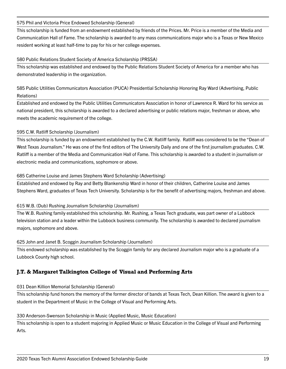#### 575 Phil and Victoria Price Endowed Scholarship (General)

This scholarship is funded from an endowment established by friends of the Prices. Mr. Price is a member of the Media and Communication Hall of Fame. The scholarship is awarded to any mass communications major who is a Texas or New Mexico resident working at least half-time to pay for his or her college expenses.

#### 580 Public Relations Student Society of America Scholarship (PRSSA)

This scholarship was established and endowed by the Public Relations Student Society of America for a member who has demonstrated leadership in the organization.

585 Public Utilities Communicators Association (PUCA) Presidential Scholarship Honoring Ray Ward (Advertising, Public Relations)

Established and endowed by the Public Utilities Communicators Association in honor of Lawrence R. Ward for his service as national president, this scholarship is awarded to a declared advertising or public relations major, freshman or above, who meets the academic requirement of the college.

# 595 C.W. Ratliff Scholarship (Journalism)

This scholarship is funded by an endowment established by the C.W. Ratliff family. Ratliff was considered to be the "Dean of West Texas Journalism." He was one of the first editors of The University Daily and one of the first journalism graduates. C.W. Ratliff is a member of the Media and Communication Hall of Fame. This scholarship is awarded to a student in journalism or electronic media and communications, sophomore or above.

# 685 Catherine Louise and James Stephens Ward Scholarship (Advertising)

Established and endowed by Ray and Betty Blankenship Ward in honor of their children, Catherine Louise and James Stephens Ward, graduates of Texas Tech University. Scholarship is for the benefit of advertising majors, freshman and above.

# 615 W.B. (Dub) Rushing Journalism Scholarship (Journalism)

The W.B. Rushing family established this scholarship. Mr. Rushing, a Texas Tech graduate, was part owner of a Lubbock television station and a leader within the Lubbock business community. The scholarship is awarded to declared journalism majors, sophomore and above.

# 625 John and Janet B. Scoggin Journalism Scholarship (Journalism)

This endowed scholarship was established by the Scoggin family for any declared Journalism major who is a graduate of a Lubbock County high school.

# **J.T. & Margaret Talkington College of Visual and Performing Arts**

#### 031 Dean Killion Memorial Scholarship (General)

This scholarship fund honors the memory of the former director of bands at Texas Tech, Dean Killion. The award is given to a student in the Department of Music in the College of Visual and Performing Arts.

#### 330 Anderson-Swenson Scholarship in Music (Applied Music, Music Education)

This scholarship is open to a student majoring in Applied Music or Music Education in the College of Visual and Performing Arts.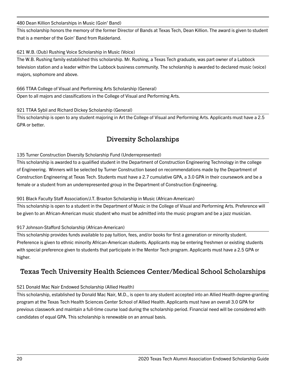#### 480 Dean Killion Scholarships in Music (Goin' Band)

This scholarship honors the memory of the former Director of Bands at Texas Tech, Dean Killion. The award is given to student that is a member of the Goin' Band from Raiderland.

# 621 W.B. (Dub) Rushing Voice Scholarship in Music (Voice)

The W.B. Rushing family established this scholarship. Mr. Rushing, a Texas Tech graduate, was part owner of a Lubbock television station and a leader within the Lubbock business community. The scholarship is awarded to declared music (voice) majors, sophomore and above.

# 666 TTAA College of Visual and Performing Arts Scholarship (General)

Open to all majors and classifications in the College of Visual and Performing Arts.

# 921 TTAA Sybil and Richard Dickey Scholarship (General)

This scholarship is open to any student majoring in Art the College of Visual and Performing Arts. Applicants must have a 2.5 GPA or better.

# Diversity Scholarships

# 135 Turner Construction Diversity Scholarship Fund (Underrepresented)

This scholarship is awarded to a qualified student in the Department of Construction Engineering Technology in the college of Engineering. Winners will be selected by Turner Construction based on recommendations made by the Department of Construction Engineering at Texas Tech. Students must have a 2.7 cumulative GPA, a 3.0 GPA in their coursework and be a female or a student from an underrepresented group in the Department of Construction Engineering.

# 901 Black Faculty Staff Association/J.T. Braxton Scholarship in Music (African-American)

This scholarship is open to a student in the Department of Music in the College of Visual and Performing Arts. Preference will be given to an African-American music student who must be admitted into the music program and be a jazz musician.

# 917 Johnson-Stafford Scholarship (African-American)

This scholarship provides funds available to pay tuition, fees, and/or books for first a generation or minority student. Preference is given to ethnic minority African-American students. Applicants may be entering freshmen or existing students with special preference given to students that participate in the Mentor Tech program. Applicants must have a 2.5 GPA or higher.

# Texas Tech University Health Sciences Center/Medical School Scholarships

# 521 Donald Mac Nair Endowed Scholarship (Allied Health)

This scholarship, established by Donald Mac Nair, M.D., is open to any student accepted into an Allied Health degree-granting program at the Texas Tech Health Sciences Center School of Allied Health. Applicants must have an overall 3.0 GPA for previous classwork and maintain a full-time course load during the scholarship period. Financial need will be considered with candidates of equal GPA. This scholarship is renewable on an annual basis.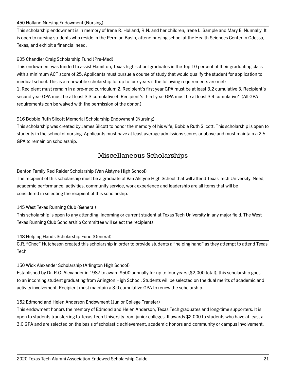#### 450 Holland Nursing Endowment (Nursing)

This scholarship endowment is in memory of Irene R. Holland, R.N. and her children, Irene L. Sample and Mary E. Nunnally. It is open to nursing students who reside in the Permian Basin, attend nursing school at the Health Sciences Center in Odessa, Texas, and exhibit a financial need.

# 905 Chandler Craig Scholarship Fund (Pre-Med)

This endowment was funded to assist Hamilton, Texas high school graduates in the Top 10 percent of their graduating class with a minimum ACT score of 25. Applicants must pursue a course of study that would qualify the student for application to medical school. This is a renewable scholarship for up to four years if the following requirements are met: 1. Recipient must remain in a pre-med curriculum 2. Recipient's first year GPA must be at least 3.2 cumulative 3. Recipient's second year GPA must be at least 3.3 cumulative 4. Recipient's third-year GPA must be at least 3.4 cumulative\* (All GPA

requirements can be waived with the permission of the donor.)

#### 916 Bobbie Ruth Silcott Memorial Scholarship Endowment (Nursing)

This scholarship was created by James Silcott to honor the memory of his wife, Bobbie Ruth Silcott. This scholarship is open to students in the school of nursing. Applicants must have at least average admissions scores or above and must maintain a 2.5 GPA to remain on scholarship.

# Miscellaneous Scholarships

#### Benton Family Red Raider Scholarship (Van Alstyne High School)

The recipient of this scholarship must be a graduate of Van Alstyne High School that will attend Texas Tech University. Need, academic performance, activities, community service, work experience and leadership are all items that will be considered in selecting the recipient of this scholarship.

#### 145 West Texas Running Club (General)

This scholarship is open to any attending, incoming or current student at Texas Tech University in any major field. The West Texas Running Club Scholarship Committee will select the recipients.

#### 148 Helping Hands Scholarship Fund (General)

C.R. "Choc" Hutcheson created this scholarship in order to provide students a "helping hand" as they attempt to attend Texas Tech.

#### 150 Wick Alexander Scholarship (Arlington High School)

Established by Dr. R.G. Alexander in 1987 to award \$500 annually for up to four years (\$2,000 total), this scholarship goes to an incoming student graduating from Arlington High School. Students will be selected on the dual merits of academic and activity involvement. Recipient must maintain a 3.0 cumulative GPA to renew the scholarship.

#### 152 Edmond and Helen Anderson Endowment (Junior College Transfer)

This endowment honors the memory of Edmond and Helen Anderson, Texas Tech graduates and long-time supporters. It is open to students transferring to Texas Tech University from junior colleges. It awards \$2,000 to students who have at least a 3.0 GPA and are selected on the basis of scholastic achievement, academic honors and community or campus involvement.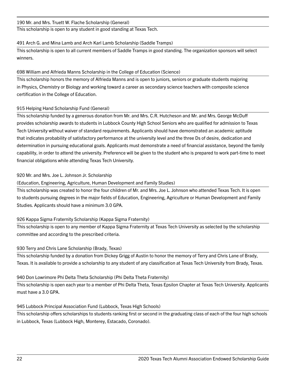#### 190 Mr. and Mrs. Truett W. Flache Scholarship (General)

This scholarship is open to any student in good standing at Texas Tech.

#### 491 Arch G. and Mina Lamb and Arch Karl Lamb Scholarship (Saddle Tramps)

This scholarship is open to all current members of Saddle Tramps in good standing. The organization sponsors will select winners.

#### 698 William and Alfrieda Manns Scholarship in the College of Education (Science)

This scholarship honors the memory of Alfrieda Manns and is open to juniors, seniors or graduate students majoring in Physics, Chemistry or Biology and working toward a career as secondary science teachers with composite science certification in the College of Education.

#### 915 Helping Hand Scholarship Fund (General)

This scholarship funded by a generous donation from Mr. and Mrs. C.R. Hutcheson and Mr. and Mrs. George McDuff provides scholarship awards to students in Lubbock County High School Seniors who are qualified for admission to Texas Tech University without waiver of standard requirements. Applicants should have demonstrated an academic aptitude that indicates probability of satisfactory performance at the university level and the three Ds of desire, dedication and determination in pursuing educational goals. Applicants must demonstrate a need of financial assistance, beyond the family capability, in order to attend the university. Preference will be given to the student who is prepared to work part-time to meet financial obligations while attending Texas Tech University.

# 920 Mr. and Mrs. Joe L. Johnson Jr. Scholarship

(Education, Engineering, Agriculture, Human Development and Family Studies)

This scholarship was created to honor the four children of Mr. and Mrs. Joe L. Johnson who attended Texas Tech. It is open to students pursuing degrees in the major fields of Education, Engineering, Agriculture or Human Development and Family Studies. Applicants should have a minimum 3.0 GPA.

# 926 Kappa Sigma Fraternity Scholarship (Kappa Sigma Fraternity)

This scholarship is open to any member of Kappa Sigma Fraternity at Texas Tech University as selected by the scholarship committee and according to the prescribed criteria.

# 930 Terry and Chris Lane Scholarship (Brady, Texas)

This scholarship funded by a donation from Dickey Grigg of Austin to honor the memory of Terry and Chris Lane of Brady, Texas. It is available to provide a scholarship to any student of any classification at Texas Tech University from Brady, Texas.

#### 940 Don Lowrimore Phi Delta Theta Scholarship (Phi Delta Theta Fraternity)

This scholarship is open each year to a member of Phi Delta Theta, Texas Epsilon Chapter at Texas Tech University. Applicants must have a 3.0 GPA.

# 945 Lubbock Principal Association Fund (Lubbock, Texas High Schools)

This scholarship offers scholarships to students ranking first or second in the graduating class of each of the four high schools in Lubbock, Texas (Lubbock High, Monterey, Estacado, Coronado).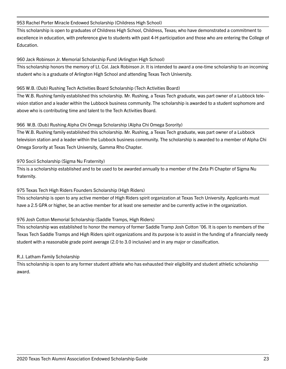#### 953 Rachel Porter Miracle Endowed Scholarship (Childress High School)

This scholarship is open to graduates of Childress High School, Childress, Texas; who have demonstrated a commitment to excellence in education, with preference give to students with past 4-H participation and those who are entering the College of Education.

#### 960 Jack Robinson Jr. Memorial Scholarship Fund (Arlington High School)

This scholarship honors the memory of Lt. Col. Jack Robinson Jr. It is intended to award a one-time scholarship to an incoming student who is a graduate of Arlington High School and attending Texas Tech University.

#### 965 W.B. (Dub) Rushing Tech Activities Board Scholarship (Tech Activities Board)

The W.B. Rushing family established this scholarship. Mr. Rushing, a Texas Tech graduate, was part owner of a Lubbock television station and a leader within the Lubbock business community. The scholarship is awarded to a student sophomore and above who is contributing time and talent to the Tech Activities Board.

#### 966 W.B. (Dub) Rushing Alpha Chi Omega Scholarship (Alpha Chi Omega Sorority)

The W.B. Rushing family established this scholarship. Mr. Rushing, a Texas Tech graduate, was part owner of a Lubbock television station and a leader within the Lubbock business community. The scholarship is awarded to a member of Alpha Chi Omega Sorority at Texas Tech University, Gamma Rho Chapter.

#### 970 Socii Scholarship (Sigma Nu Fraternity)

This is a scholarship established and to be used to be awarded annually to a member of the Zeta Pi Chapter of Sigma Nu fraternity.

# 975 Texas Tech High Riders Founders Scholarship (High Riders)

This scholarship is open to any active member of High Riders spirit organization at Texas Tech University. Applicants must have a 2.5 GPA or higher, be an active member for at least one semester and be currently active in the organization.

# 976 Josh Cotton Memorial Scholarship (Saddle Tramps, High Riders)

This scholarship was established to honor the memory of former Saddle Tramp Josh Cotton '06. It is open to members of the Texas Tech Saddle Tramps and High Riders spirit organizations and its purpose is to assist in the funding of a financially needy student with a reasonable grade point average (2.0 to 3.0 inclusive) and in any major or classification.

#### R.J. Latham Family Scholarship

This scholarship is open to any former student athlete who has exhausted their eligibility and student athletic scholarship award.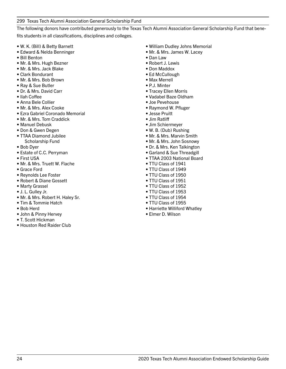299 Texas Tech Alumni Association General Scholarship Fund

The following donors have contributed generously to the Texas Tech Alumni Association General Scholarship Fund that benefits students in all classifications, disciplines and colleges.

- W. K. (Bill) & Betty Barnett
- Edward & Nelda Benninger
- Bill Benton
- Mr. & Mrs. Hugh Bezner
- Mr. & Mrs. Jack Blake
- Clark Bondurant
- Mr. & Mrs. Bob Brown
- Ray & Sue Butler
- Dr. & Mrs. David Carr
- Ilah Coffee
- Anna Bele Collier
- Mr. & Mrs. Alex Cooke
- Ezra Gabriel Coronado Memorial
- Mr. & Mrs. Tom Craddick
- Manuel Debusk
- Don & Gwen Degen
- TTAA Diamond Jubilee Scholarship Fund
- Bob Dyer
- Estate of C.C. Perryman
- First USA
- Mr. & Mrs. Truett W. Flache
- Grace Ford
- Reynolds Lee Foster
- Robert & Diane Gossett
- Marty Grassel
- J. L. Gulley Jr.
- Mr. & Mrs. Robert H. Haley Sr.
- Tim & Tommie Hatch
- Bob Herd
- John & Pinny Hervey
- T. Scott Hickman
- Houston Red Raider Club
- William Dudley Johns Memorial
- Mr. & Mrs. James W. Lacey
- Dan Law
- Robert J. Lewis
- Don Maddox
- Ed McCullough
- Max Merrell
- P.J. Minter
- Tracey Ellen Morris
- Vadabel Baze Oldham
- Joe Pevehouse
- Raymond W. Pfluger
- Jesse Pruitt
- Jim Ratliff
- Jim Schiermeyer
- W. B. (Dub) Rushing
- Mr. & Mrs. Marvin Smith
- Mr. & Mrs. John Sosnowy
- Dr. & Mrs. Ken Talkington
- Garland & Sue Threadgill
- TTAA 2003 National Board
- TTU Class of 1941
- TTU Class of 1949
- TTU Class of 1950
- TTU Class of 1951
- TTU Class of 1952
- TTU Class of 1953
- TTU Class of 1954
- TTU Class of 1955
- Harriette Williford Whatley
- Elmer D. Wilson